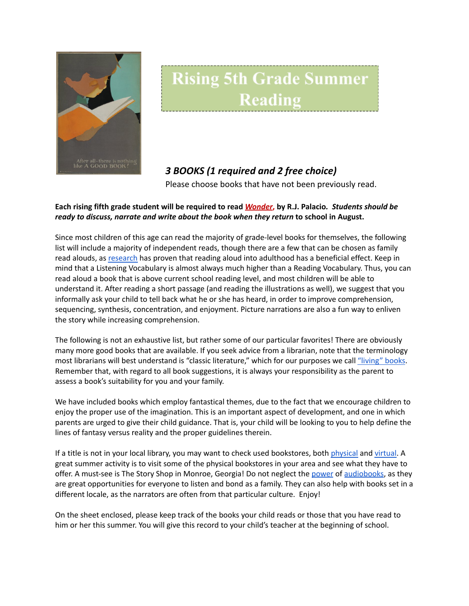

## **Rising 5th Grade Summer** Reading

## *3 BOOKS (1 required and 2 free choice)*

Please choose books that have not been previously read.

## Each rising fifth grade student will be required to read Wonder, by R.J. Palacio. Students should be *ready to discuss, narrate and write about the book when they return* **to school in August.**

Since most children of this age can read the majority of grade-level books for themselves, the following list will include a majority of independent reads, though there are a few that can be chosen as family read alouds, as [research](https://www.greatschools.org/gk/articles/read-aloud-to-children/) has proven that reading aloud into adulthood has a beneficial effect. Keep in mind that a Listening Vocabulary is almost always much higher than a Reading Vocabulary. Thus, you can read aloud a book that is above current school reading level, and most children will be able to understand it. After reading a short passage (and reading the illustrations as well), we suggest that you informally ask your child to tell back what he or she has heard, in order to improve comprehension, sequencing, synthesis, concentration, and enjoyment. Picture narrations are also a fun way to enliven the story while increasing comprehension.

The following is not an exhaustive list, but rather some of our particular favorites! There are obviously many more good books that are available. If you seek advice from a librarian, note that the terminology most librarians will best understand is "classic literature," which for our purposes we call ["living"](https://charlottemasonhome.com/2007/05/30/literature-by-grade/) books. Remember that, with regard to all book suggestions, it is always your responsibility as the parent to assess a book's suitability for you and your family.

We have included books which employ fantastical themes, due to the fact that we encourage children to enjoy the proper use of the imagination. This is an important aspect of development, and one in which parents are urged to give their child guidance. That is, your child will be looking to you to help define the lines of fantasy versus reality and the proper guidelines therein.

If a title is not in your local library, you may want to check used bookstores, both [physical](https://www.atlantaparent.com/top-kids-bookstores-in-atlanta/) and [virtual.](https://booksliced.com/books/here-are-the-20-best-websites-to-use-next-time-you-shop-for-paperback-and-hardcover-books-online/) A great summer activity is to visit some of the physical bookstores in your area and see what they have to offer. A must-see is The Story Shop in Monroe, Georgia! Do not neglect the [power](https://www.learningliftoff.com/free-audio-books-for-kids/) of [audiobooks](https://mashable.com/article/free-audiobooks/), as they are great opportunities for everyone to listen and bond as a family. They can also help with books set in a different locale, as the narrators are often from that particular culture. Enjoy!

On the sheet enclosed, please keep track of the books your child reads or those that you have read to him or her this summer. You will give this record to your child's teacher at the beginning of school.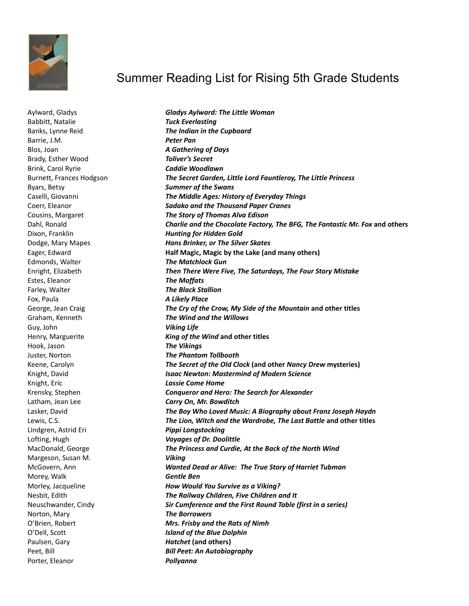

## Summer Reading List for Rising 5th Grade Students

Aylward, Gladys *Gladys Aylward: The Little Woman* Babbitt, Natalie *Tuck Everlasting* Barrie, J.M. *Peter Pan* Blos, Joan *A Gathering of Days* Brady, Esther Wood *Toliver's Secret* Brink, Carol Ryrie *Caddie Woodlawn* Byars, Betsy *Summer of the Swans* Edmonds, Walter *The Matchlock Gun* Estes, Eleanor *The Moffats* Farley, Walter *The Black Stallion* Fox, Paula *A Likely Place* Guy, John *Viking Life* Hook, Jason *The Vikings* Knight, Eric *Lassie Come Home* Lindgren, Astrid Eri *Pippi Longstocking* Margeson, Susan M. *Viking* Morey, Walk *Gentle Ben* Norton, Mary *The Borrowers* Paulsen, Gary *Hatchet* **(and others)** Porter, Eleanor *Pollyanna*

Banks, Lynne Reid *The Indian in the Cupboard* Burnett, Frances Hodgson *The Secret Garden, Little Lord Fauntleroy, The Little Princess* Caselli, Giovanni *The Middle Ages: History of Everyday Things* Coerr, Eleanor *Sadako and the Thousand Paper Cranes* Cousins, Margaret *The Story of Thomas Alva Edison* Dahl, Ronald *Charlie and the Chocolate Factory, The BFG, The Fantastic Mr. Fox* **and others** Dixon, Franklin *Hunting for Hidden Gold* Dodge, Mary Mapes *Hans Brinker, or The Silver Skates* Eager, Edward **Half Magic, Magic by the Lake (and many others)** Enright, Elizabeth *Then There Were Five, The Saturdays, The Four Story Mistake* George, Jean Craig *The Cry of the Crow, My Side of the Mountain* **and other titles** Graham, Kenneth *The Wind and the Willows* Henry, Marguerite *King of the Wind* **and other titles** Juster, Norton *The Phantom Tollbooth* Keene, Carolyn *The Secret of the Old Clock* **(and other** *Nancy Drew* **mysteries)** Knight, David *Isaac Newton: Mastermind of Modern Science* Krensky, Stephen *Conqueror and Hero: The Search for Alexander* Latham, Jean Lee *Carry On, Mr. Bowditch* Lasker, David *The Boy Who Loved Music: A Biography about Franz Joseph Haydn* Lewis, C.S. *The Lion, Witch and the Wardrobe, The Last Battle* **and other titles** Lofting, Hugh *Voyages of Dr. Doolittle* MacDonald, George *The Princess and Curdie, At the Back of the North Wind* McGovern, Ann *Wanted Dead or Alive: The True Story of Harriet Tubman* Morley, Jacqueline *How Would You Survive as a Viking?* Nesbit, Edith *The Railway Children, Five Children and It* Neuschwander, Cindy *Sir Cumference and the First Round Table (first in a series)* O'Brien, Robert *Mrs. Frisby and the Rats of Nimh* O'Dell, Scott *Island of the Blue Dolphin* Peet, Bill *Bill Peet: An Autobiography*